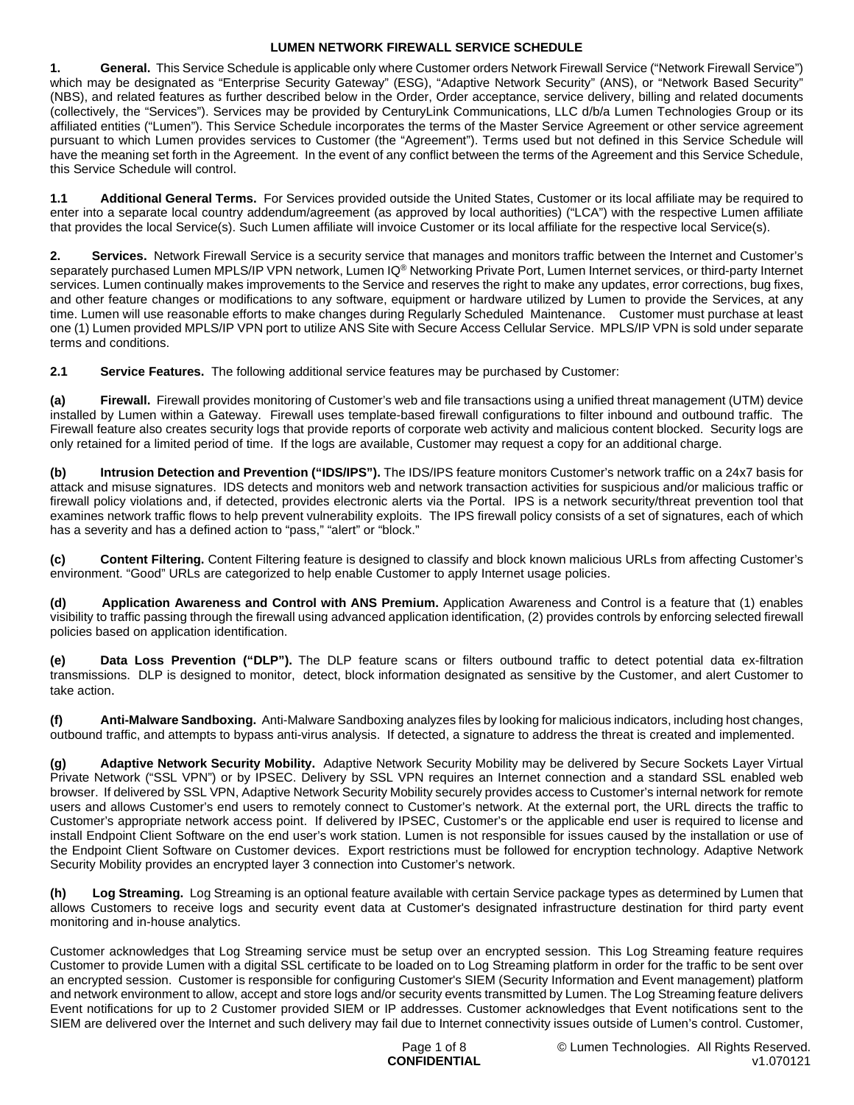**1. General.** This Service Schedule is applicable only where Customer orders Network Firewall Service ("Network Firewall Service") which may be designated as "Enterprise Security Gateway" (ESG), "Adaptive Network Security" (ANS), or "Network Based Security" (NBS), and related features as further described below in the Order, Order acceptance, service delivery, billing and related documents (collectively, the "Services"). Services may be provided by CenturyLink Communications, LLC d/b/a Lumen Technologies Group or its affiliated entities ("Lumen"). This Service Schedule incorporates the terms of the Master Service Agreement or other service agreement pursuant to which Lumen provides services to Customer (the "Agreement"). Terms used but not defined in this Service Schedule will have the meaning set forth in the Agreement. In the event of any conflict between the terms of the Agreement and this Service Schedule, this Service Schedule will control.

**1.1 Additional General Terms.** For Services provided outside the United States, Customer or its local affiliate may be required to enter into a separate local country addendum/agreement (as approved by local authorities) ("LCA") with the respective Lumen affiliate that provides the local Service(s). Such Lumen affiliate will invoice Customer or its local affiliate for the respective local Service(s).

**2. Services.** Network Firewall Service is a security service that manages and monitors traffic between the Internet and Customer's separately purchased Lumen MPLS/IP VPN network, Lumen IQ® Networking Private Port, Lumen Internet services, or third-party Internet services. Lumen continually makes improvements to the Service and reserves the right to make any updates, error corrections, bug fixes, and other feature changes or modifications to any software, equipment or hardware utilized by Lumen to provide the Services, at any time. Lumen will use reasonable efforts to make changes during Regularly Scheduled Maintenance. Customer must purchase at least one (1) Lumen provided MPLS/IP VPN port to utilize ANS Site with Secure Access Cellular Service. MPLS/IP VPN is sold under separate terms and conditions.

**2.1 Service Features.** The following additional service features may be purchased by Customer:

**(a) Firewall.** Firewall provides monitoring of Customer's web and file transactions using a unified threat management (UTM) device installed by Lumen within a Gateway. Firewall uses template-based firewall configurations to filter inbound and outbound traffic. The Firewall feature also creates security logs that provide reports of corporate web activity and malicious content blocked. Security logs are only retained for a limited period of time. If the logs are available, Customer may request a copy for an additional charge.

**(b) Intrusion Detection and Prevention ("IDS/IPS").** The IDS/IPS feature monitors Customer's network traffic on a 24x7 basis for attack and misuse signatures. IDS detects and monitors web and network transaction activities for suspicious and/or malicious traffic or firewall policy violations and, if detected, provides electronic alerts via the Portal. IPS is a network security/threat prevention tool that examines network traffic flows to help prevent vulnerability exploits. The IPS firewall policy consists of a set of signatures, each of which has a severity and has a defined action to "pass," "alert" or "block."

**(c) Content Filtering.** Content Filtering feature is designed to classify and block known malicious URLs from affecting Customer's environment. "Good" URLs are categorized to help enable Customer to apply Internet usage policies.

**(d) Application Awareness and Control with ANS Premium.** Application Awareness and Control is a feature that (1) enables visibility to traffic passing through the firewall using advanced application identification, (2) provides controls by enforcing selected firewall policies based on application identification.

**(e) Data Loss Prevention ("DLP").** The DLP feature scans or filters outbound traffic to detect potential data ex-filtration transmissions. DLP is designed to monitor, detect, block information designated as sensitive by the Customer, and alert Customer to take action.

**(f) Anti-Malware Sandboxing.** Anti-Malware Sandboxing analyzes files by looking for malicious indicators, including host changes, outbound traffic, and attempts to bypass anti-virus analysis. If detected, a signature to address the threat is created and implemented.

**(g) Adaptive Network Security Mobility.** Adaptive Network Security Mobility may be delivered by Secure Sockets Layer Virtual Private Network ("SSL VPN") or by IPSEC. Delivery by SSL VPN requires an Internet connection and a standard SSL enabled web browser. If delivered by SSL VPN, Adaptive Network Security Mobility securely provides access to Customer's internal network for remote users and allows Customer's end users to remotely connect to Customer's network. At the external port, the URL directs the traffic to Customer's appropriate network access point. If delivered by IPSEC, Customer's or the applicable end user is required to license and install Endpoint Client Software on the end user's work station. Lumen is not responsible for issues caused by the installation or use of the Endpoint Client Software on Customer devices. Export restrictions must be followed for encryption technology. Adaptive Network Security Mobility provides an encrypted layer 3 connection into Customer's network.

**(h) Log Streaming.** Log Streaming is an optional feature available with certain Service package types as determined by Lumen that allows Customers to receive logs and security event data at Customer's designated infrastructure destination for third party event monitoring and in-house analytics.

Customer acknowledges that Log Streaming service must be setup over an encrypted session. This Log Streaming feature requires Customer to provide Lumen with a digital SSL certificate to be loaded on to Log Streaming platform in order for the traffic to be sent over an encrypted session. Customer is responsible for configuring Customer's SIEM (Security Information and Event management) platform and network environment to allow, accept and store logs and/or security events transmitted by Lumen. The Log Streaming feature delivers Event notifications for up to 2 Customer provided SIEM or IP addresses. Customer acknowledges that Event notifications sent to the SIEM are delivered over the Internet and such delivery may fail due to Internet connectivity issues outside of Lumen's control. Customer,

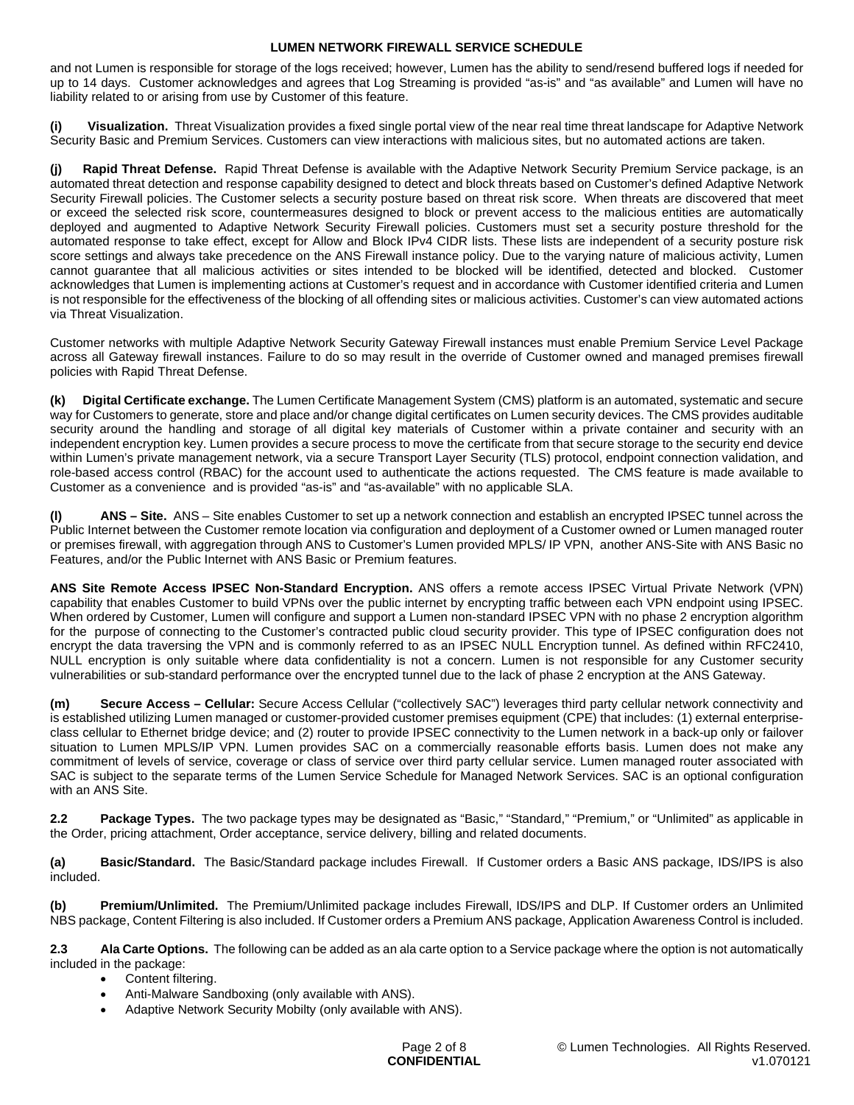and not Lumen is responsible for storage of the logs received; however, Lumen has the ability to send/resend buffered logs if needed for up to 14 days. Customer acknowledges and agrees that Log Streaming is provided "as-is" and "as available" and Lumen will have no liability related to or arising from use by Customer of this feature.

**(i) Visualization.** Threat Visualization provides a fixed single portal view of the near real time threat landscape for Adaptive Network Security Basic and Premium Services. Customers can view interactions with malicious sites, but no automated actions are taken.

**(j) Rapid Threat Defense.** Rapid Threat Defense is available with the Adaptive Network Security Premium Service package, is an automated threat detection and response capability designed to detect and block threats based on Customer's defined Adaptive Network Security Firewall policies. The Customer selects a security posture based on threat risk score. When threats are discovered that meet or exceed the selected risk score, countermeasures designed to block or prevent access to the malicious entities are automatically deployed and augmented to Adaptive Network Security Firewall policies. Customers must set a security posture threshold for the automated response to take effect, except for Allow and Block IPv4 CIDR lists. These lists are independent of a security posture risk score settings and always take precedence on the ANS Firewall instance policy. Due to the varying nature of malicious activity, Lumen cannot guarantee that all malicious activities or sites intended to be blocked will be identified, detected and blocked. Customer acknowledges that Lumen is implementing actions at Customer's request and in accordance with Customer identified criteria and Lumen is not responsible for the effectiveness of the blocking of all offending sites or malicious activities. Customer's can view automated actions via Threat Visualization.

Customer networks with multiple Adaptive Network Security Gateway Firewall instances must enable Premium Service Level Package across all Gateway firewall instances. Failure to do so may result in the override of Customer owned and managed premises firewall policies with Rapid Threat Defense.

**(k) Digital Certificate exchange.** The Lumen Certificate Management System (CMS) platform is an automated, systematic and secure way for Customers to generate, store and place and/or change digital certificates on Lumen security devices. The CMS provides auditable security around the handling and storage of all digital key materials of Customer within a private container and security with an independent encryption key. Lumen provides a secure process to move the certificate from that secure storage to the security end device within Lumen's private management network, via a secure Transport Layer Security (TLS) protocol, endpoint connection validation, and role-based access control (RBAC) for the account used to authenticate the actions requested. The CMS feature is made available to Customer as a convenience and is provided "as-is" and "as-available" with no applicable SLA.

**(l) ANS – Site.** ANS – Site enables Customer to set up a network connection and establish an encrypted IPSEC tunnel across the Public Internet between the Customer remote location via configuration and deployment of a Customer owned or Lumen managed router or premises firewall, with aggregation through ANS to Customer's Lumen provided MPLS/ IP VPN, another ANS-Site with ANS Basic no Features, and/or the Public Internet with ANS Basic or Premium features.

**ANS Site Remote Access IPSEC Non-Standard Encryption.** ANS offers a remote access IPSEC Virtual Private Network (VPN) capability that enables Customer to build VPNs over the public internet by encrypting traffic between each VPN endpoint using IPSEC. When ordered by Customer, Lumen will configure and support a Lumen non-standard IPSEC VPN with no phase 2 encryption algorithm for the purpose of connecting to the Customer's contracted public cloud security provider. This type of IPSEC configuration does not encrypt the data traversing the VPN and is commonly referred to as an IPSEC NULL Encryption tunnel. As defined within RFC2410, NULL encryption is only suitable where data confidentiality is not a concern. Lumen is not responsible for any Customer security vulnerabilities or sub-standard performance over the encrypted tunnel due to the lack of phase 2 encryption at the ANS Gateway.

**(m) Secure Access – Cellular:** Secure Access Cellular ("collectively SAC") leverages third party cellular network connectivity and is established utilizing Lumen managed or customer-provided customer premises equipment (CPE) that includes: (1) external enterpriseclass cellular to Ethernet bridge device; and (2) router to provide IPSEC connectivity to the Lumen network in a back-up only or failover situation to Lumen MPLS/IP VPN. Lumen provides SAC on a commercially reasonable efforts basis. Lumen does not make any commitment of levels of service, coverage or class of service over third party cellular service. Lumen managed router associated with SAC is subject to the separate terms of the Lumen Service Schedule for Managed Network Services. SAC is an optional configuration with an ANS Site.

**2.2 Package Types.** The two package types may be designated as "Basic," "Standard," "Premium," or "Unlimited" as applicable in the Order, pricing attachment, Order acceptance, service delivery, billing and related documents.

**(a) Basic/Standard.** The Basic/Standard package includes Firewall. If Customer orders a Basic ANS package, IDS/IPS is also included.

**(b) Premium/Unlimited.** The Premium/Unlimited package includes Firewall, IDS/IPS and DLP. If Customer orders an Unlimited NBS package, Content Filtering is also included. If Customer orders a Premium ANS package, Application Awareness Control is included.

**2.3 Ala Carte Options.** The following can be added as an ala carte option to a Service package where the option is not automatically included in the package:

- Content filtering.
- Anti-Malware Sandboxing (only available with ANS).
- Adaptive Network Security Mobilty (only available with ANS).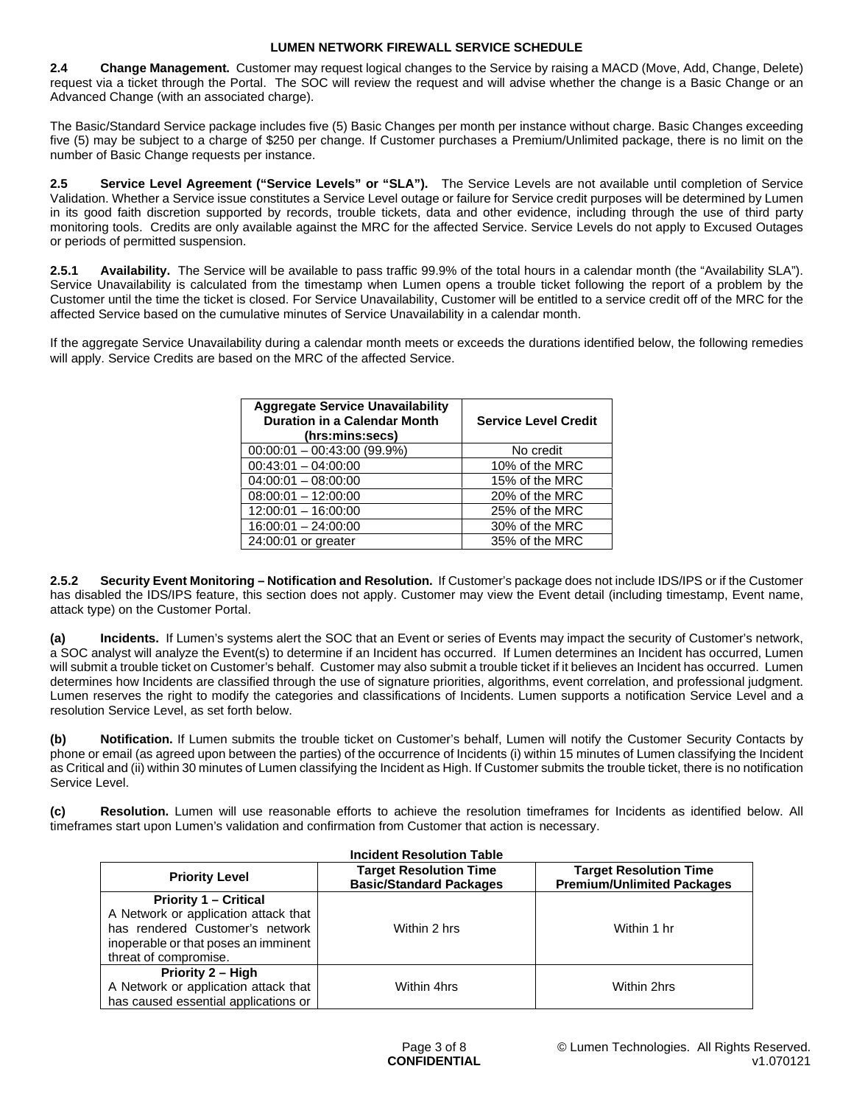**2.4 Change Management.** Customer may request logical changes to the Service by raising a MACD (Move, Add, Change, Delete) request via a ticket through the Portal. The SOC will review the request and will advise whether the change is a Basic Change or an Advanced Change (with an associated charge).

The Basic/Standard Service package includes five (5) Basic Changes per month per instance without charge. Basic Changes exceeding five (5) may be subject to a charge of \$250 per change. If Customer purchases a Premium/Unlimited package, there is no limit on the number of Basic Change requests per instance.

**2.5 Service Level Agreement ("Service Levels" or "SLA").** The Service Levels are not available until completion of Service Validation. Whether a Service issue constitutes a Service Level outage or failure for Service credit purposes will be determined by Lumen in its good faith discretion supported by records, trouble tickets, data and other evidence, including through the use of third party monitoring tools. Credits are only available against the MRC for the affected Service. Service Levels do not apply to Excused Outages or periods of permitted suspension.

**2.5.1 Availability.** The Service will be available to pass traffic 99.9% of the total hours in a calendar month (the "Availability SLA"). Service Unavailability is calculated from the timestamp when Lumen opens a trouble ticket following the report of a problem by the Customer until the time the ticket is closed. For Service Unavailability, Customer will be entitled to a service credit off of the MRC for the affected Service based on the cumulative minutes of Service Unavailability in a calendar month.

If the aggregate Service Unavailability during a calendar month meets or exceeds the durations identified below, the following remedies will apply. Service Credits are based on the MRC of the affected Service.

| <b>Aggregate Service Unavailability</b><br><b>Duration in a Calendar Month</b><br>(hrs:mins:secs) | <b>Service Level Credit</b> |
|---------------------------------------------------------------------------------------------------|-----------------------------|
| $00:00:01 - 00:43:00(99.9%)$                                                                      | No credit                   |
| $00:43:01 - 04:00:00$                                                                             | 10% of the MRC              |
| $04:00:01 - 08:00:00$                                                                             | 15% of the MRC              |
| $08:00:01 - 12:00:00$                                                                             | 20% of the MRC              |
| $12:00:01 - 16:00:00$                                                                             | 25% of the MRC              |
| $16:00:01 - 24:00:00$                                                                             | 30% of the MRC              |
| 24:00:01 or greater                                                                               | 35% of the MRC              |

**2.5.2 Security Event Monitoring – Notification and Resolution.** If Customer's package does not include IDS/IPS or if the Customer has disabled the IDS/IPS feature, this section does not apply. Customer may view the Event detail (including timestamp, Event name, attack type) on the Customer Portal.

**(a) Incidents.** If Lumen's systems alert the SOC that an Event or series of Events may impact the security of Customer's network, a SOC analyst will analyze the Event(s) to determine if an Incident has occurred. If Lumen determines an Incident has occurred, Lumen will submit a trouble ticket on Customer's behalf. Customer may also submit a trouble ticket if it believes an Incident has occurred. Lumen determines how Incidents are classified through the use of signature priorities, algorithms, event correlation, and professional judgment. Lumen reserves the right to modify the categories and classifications of Incidents. Lumen supports a notification Service Level and a resolution Service Level, as set forth below.

**(b) Notification.** If Lumen submits the trouble ticket on Customer's behalf, Lumen will notify the Customer Security Contacts by phone or email (as agreed upon between the parties) of the occurrence of Incidents (i) within 15 minutes of Lumen classifying the Incident as Critical and (ii) within 30 minutes of Lumen classifying the Incident as High. If Customer submits the trouble ticket, there is no notification Service Level.

**(c) Resolution.** Lumen will use reasonable efforts to achieve the resolution timeframes for Incidents as identified below. All timeframes start upon Lumen's validation and confirmation from Customer that action is necessary.

| <b>Incident Resolution Table</b>     |                                                                 |                                                                    |  |
|--------------------------------------|-----------------------------------------------------------------|--------------------------------------------------------------------|--|
| <b>Priority Level</b>                | <b>Target Resolution Time</b><br><b>Basic/Standard Packages</b> | <b>Target Resolution Time</b><br><b>Premium/Unlimited Packages</b> |  |
| <b>Priority 1 – Critical</b>         |                                                                 |                                                                    |  |
| A Network or application attack that |                                                                 |                                                                    |  |
| has rendered Customer's network      | Within 2 hrs                                                    | Within 1 hr                                                        |  |
| inoperable or that poses an imminent |                                                                 |                                                                    |  |
| threat of compromise.                |                                                                 |                                                                    |  |
| Priority 2 - High                    |                                                                 |                                                                    |  |
| A Network or application attack that | Within 4hrs                                                     | Within 2hrs                                                        |  |
| has caused essential applications or |                                                                 |                                                                    |  |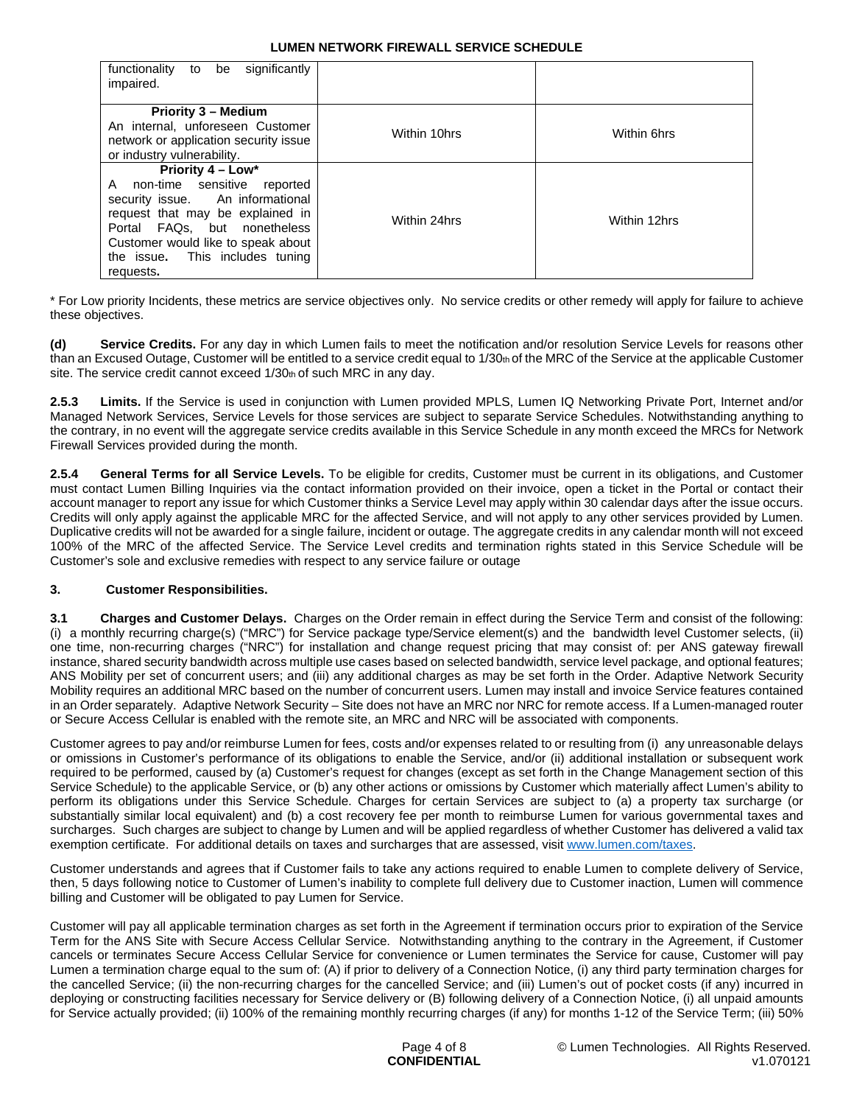| significantly<br>functionality<br>to<br>be<br>impaired.                                                                                                                                                                                             |              |              |
|-----------------------------------------------------------------------------------------------------------------------------------------------------------------------------------------------------------------------------------------------------|--------------|--------------|
| <b>Priority 3 - Medium</b><br>An internal, unforeseen Customer<br>network or application security issue<br>or industry vulnerability.                                                                                                               | Within 10hrs | Within 6hrs  |
| Priority 4 – Low*<br>non-time sensitive reported<br>A<br>security issue. An informational<br>request that may be explained in<br>Portal FAQs, but nonetheless<br>Customer would like to speak about<br>the issue. This includes tuning<br>requests. | Within 24hrs | Within 12hrs |

\* For Low priority Incidents, these metrics are service objectives only. No service credits or other remedy will apply for failure to achieve these objectives.

**(d) Service Credits.** For any day in which Lumen fails to meet the notification and/or resolution Service Levels for reasons other than an Excused Outage, Customer will be entitled to a service credit equal to 1/30th of the MRC of the Service at the applicable Customer site. The service credit cannot exceed 1/30th of such MRC in any day.

**2.5.3 Limits.** If the Service is used in conjunction with Lumen provided MPLS, Lumen IQ Networking Private Port, Internet and/or Managed Network Services, Service Levels for those services are subject to separate Service Schedules. Notwithstanding anything to the contrary, in no event will the aggregate service credits available in this Service Schedule in any month exceed the MRCs for Network Firewall Services provided during the month.

**2.5.4 General Terms for all Service Levels.** To be eligible for credits, Customer must be current in its obligations, and Customer must contact Lumen Billing Inquiries via the contact information provided on their invoice, open a ticket in the Portal or contact their account manager to report any issue for which Customer thinks a Service Level may apply within 30 calendar days after the issue occurs. Credits will only apply against the applicable MRC for the affected Service, and will not apply to any other services provided by Lumen. Duplicative credits will not be awarded for a single failure, incident or outage. The aggregate credits in any calendar month will not exceed 100% of the MRC of the affected Service. The Service Level credits and termination rights stated in this Service Schedule will be Customer's sole and exclusive remedies with respect to any service failure or outage

# **3. Customer Responsibilities.**

**3.1 Charges and Customer Delays.** Charges on the Order remain in effect during the Service Term and consist of the following: (i) a monthly recurring charge(s) ("MRC") for Service package type/Service element(s) and the bandwidth level Customer selects, (ii) one time, non-recurring charges ("NRC") for installation and change request pricing that may consist of: per ANS gateway firewall instance, shared security bandwidth across multiple use cases based on selected bandwidth, service level package, and optional features; ANS Mobility per set of concurrent users; and (iii) any additional charges as may be set forth in the Order. Adaptive Network Security Mobility requires an additional MRC based on the number of concurrent users. Lumen may install and invoice Service features contained in an Order separately. Adaptive Network Security – Site does not have an MRC nor NRC for remote access. If a Lumen-managed router or Secure Access Cellular is enabled with the remote site, an MRC and NRC will be associated with components.

Customer agrees to pay and/or reimburse Lumen for fees, costs and/or expenses related to or resulting from (i) any unreasonable delays or omissions in Customer's performance of its obligations to enable the Service, and/or (ii) additional installation or subsequent work required to be performed, caused by (a) Customer's request for changes (except as set forth in the Change Management section of this Service Schedule) to the applicable Service, or (b) any other actions or omissions by Customer which materially affect Lumen's ability to perform its obligations under this Service Schedule. Charges for certain Services are subject to (a) a property tax surcharge (or substantially similar local equivalent) and (b) a cost recovery fee per month to reimburse Lumen for various governmental taxes and surcharges. Such charges are subject to change by Lumen and will be applied regardless of whether Customer has delivered a valid tax exemption certificate. For additional details on taxes and surcharges that are assessed, visit www.lumen.com/taxes.

Customer understands and agrees that if Customer fails to take any actions required to enable Lumen to complete delivery of Service, then, 5 days following notice to Customer of Lumen's inability to complete full delivery due to Customer inaction, Lumen will commence billing and Customer will be obligated to pay Lumen for Service.

Customer will pay all applicable termination charges as set forth in the Agreement if termination occurs prior to expiration of the Service Term for the ANS Site with Secure Access Cellular Service. Notwithstanding anything to the contrary in the Agreement, if Customer cancels or terminates Secure Access Cellular Service for convenience or Lumen terminates the Service for cause, Customer will pay Lumen a termination charge equal to the sum of: (A) if prior to delivery of a Connection Notice, (i) any third party termination charges for the cancelled Service; (ii) the non-recurring charges for the cancelled Service; and (iii) Lumen's out of pocket costs (if any) incurred in deploying or constructing facilities necessary for Service delivery or (B) following delivery of a Connection Notice, (i) all unpaid amounts for Service actually provided; (ii) 100% of the remaining monthly recurring charges (if any) for months 1-12 of the Service Term; (iii) 50%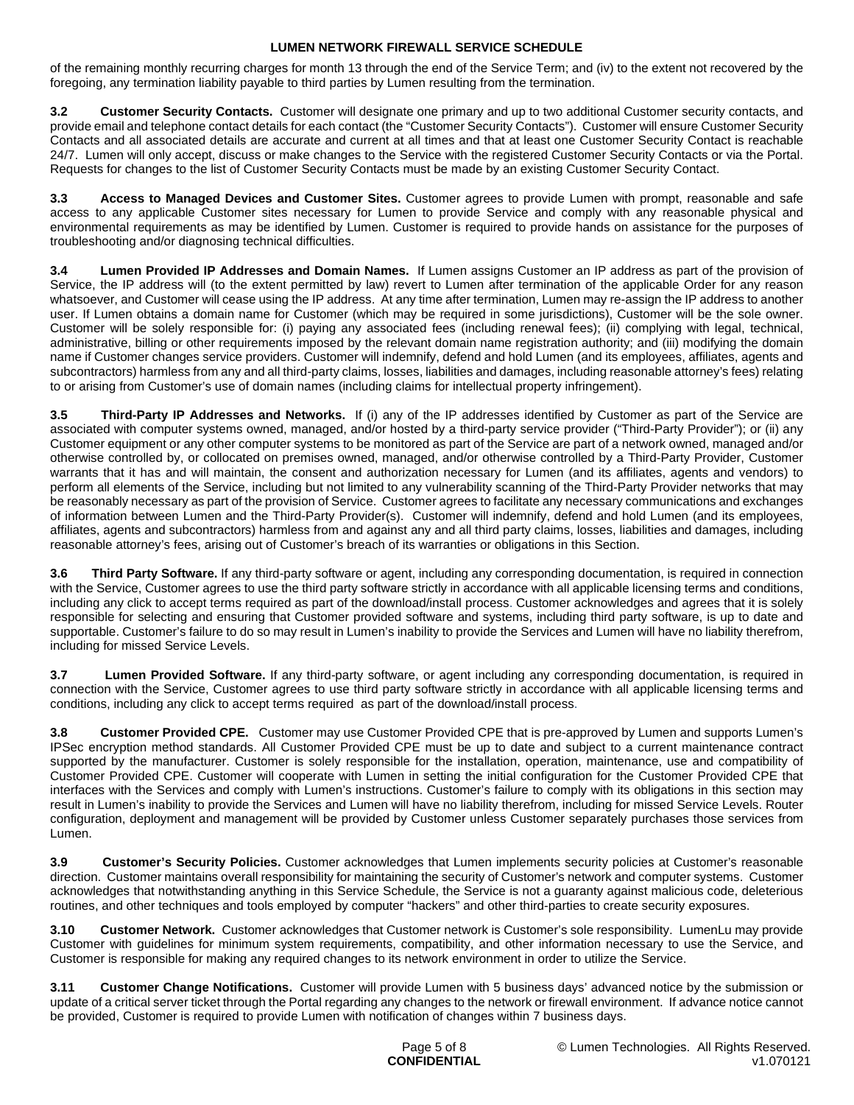of the remaining monthly recurring charges for month 13 through the end of the Service Term; and (iv) to the extent not recovered by the foregoing, any termination liability payable to third parties by Lumen resulting from the termination.

**3.2 Customer Security Contacts.** Customer will designate one primary and up to two additional Customer security contacts, and provide email and telephone contact details for each contact (the "Customer Security Contacts"). Customer will ensure Customer Security Contacts and all associated details are accurate and current at all times and that at least one Customer Security Contact is reachable 24/7. Lumen will only accept, discuss or make changes to the Service with the registered Customer Security Contacts or via the Portal. Requests for changes to the list of Customer Security Contacts must be made by an existing Customer Security Contact.

**3.3 Access to Managed Devices and Customer Sites.** Customer agrees to provide Lumen with prompt, reasonable and safe access to any applicable Customer sites necessary for Lumen to provide Service and comply with any reasonable physical and environmental requirements as may be identified by Lumen. Customer is required to provide hands on assistance for the purposes of troubleshooting and/or diagnosing technical difficulties.

**3.4 Lumen Provided IP Addresses and Domain Names.** If Lumen assigns Customer an IP address as part of the provision of Service, the IP address will (to the extent permitted by law) revert to Lumen after termination of the applicable Order for any reason whatsoever, and Customer will cease using the IP address. At any time after termination, Lumen may re-assign the IP address to another user. If Lumen obtains a domain name for Customer (which may be required in some jurisdictions), Customer will be the sole owner. Customer will be solely responsible for: (i) paying any associated fees (including renewal fees); (ii) complying with legal, technical, administrative, billing or other requirements imposed by the relevant domain name registration authority; and (iii) modifying the domain name if Customer changes service providers. Customer will indemnify, defend and hold Lumen (and its employees, affiliates, agents and subcontractors) harmless from any and all third-party claims, losses, liabilities and damages, including reasonable attorney's fees) relating to or arising from Customer's use of domain names (including claims for intellectual property infringement).

**3.5 Third-Party IP Addresses and Networks.** If (i) any of the IP addresses identified by Customer as part of the Service are associated with computer systems owned, managed, and/or hosted by a third-party service provider ("Third-Party Provider"); or (ii) any Customer equipment or any other computer systems to be monitored as part of the Service are part of a network owned, managed and/or otherwise controlled by, or collocated on premises owned, managed, and/or otherwise controlled by a Third-Party Provider, Customer warrants that it has and will maintain, the consent and authorization necessary for Lumen (and its affiliates, agents and vendors) to perform all elements of the Service, including but not limited to any vulnerability scanning of the Third-Party Provider networks that may be reasonably necessary as part of the provision of Service. Customer agrees to facilitate any necessary communications and exchanges of information between Lumen and the Third-Party Provider(s). Customer will indemnify, defend and hold Lumen (and its employees, affiliates, agents and subcontractors) harmless from and against any and all third party claims, losses, liabilities and damages, including reasonable attorney's fees, arising out of Customer's breach of its warranties or obligations in this Section.

**3.6 Third Party Software.** If any third-party software or agent, including any corresponding documentation, is required in connection with the Service, Customer agrees to use the third party software strictly in accordance with all applicable licensing terms and conditions, including any click to accept terms required as part of the download/install process. Customer acknowledges and agrees that it is solely responsible for selecting and ensuring that Customer provided software and systems, including third party software, is up to date and supportable. Customer's failure to do so may result in Lumen's inability to provide the Services and Lumen will have no liability therefrom, including for missed Service Levels.

**3.7 Lumen Provided Software.** If any third-party software, or agent including any corresponding documentation, is required in connection with the Service, Customer agrees to use third party software strictly in accordance with all applicable licensing terms and conditions, including any click to accept terms required as part of the download/install process.

**3.8 Customer Provided CPE.** Customer may use Customer Provided CPE that is pre-approved by Lumen and supports Lumen's IPSec encryption method standards. All Customer Provided CPE must be up to date and subject to a current maintenance contract supported by the manufacturer. Customer is solely responsible for the installation, operation, maintenance, use and compatibility of Customer Provided CPE. Customer will cooperate with Lumen in setting the initial configuration for the Customer Provided CPE that interfaces with the Services and comply with Lumen's instructions. Customer's failure to comply with its obligations in this section may result in Lumen's inability to provide the Services and Lumen will have no liability therefrom, including for missed Service Levels. Router configuration, deployment and management will be provided by Customer unless Customer separately purchases those services from Lumen.

**3.9 Customer's Security Policies.** Customer acknowledges that Lumen implements security policies at Customer's reasonable direction. Customer maintains overall responsibility for maintaining the security of Customer's network and computer systems. Customer acknowledges that notwithstanding anything in this Service Schedule, the Service is not a guaranty against malicious code, deleterious routines, and other techniques and tools employed by computer "hackers" and other third-parties to create security exposures.

**3.10 Customer Network.** Customer acknowledges that Customer network is Customer's sole responsibility. LumenLu may provide Customer with guidelines for minimum system requirements, compatibility, and other information necessary to use the Service, and Customer is responsible for making any required changes to its network environment in order to utilize the Service.

**3.11 Customer Change Notifications.** Customer will provide Lumen with 5 business days' advanced notice by the submission or update of a critical server ticket through the Portal regarding any changes to the network or firewall environment. If advance notice cannot be provided, Customer is required to provide Lumen with notification of changes within 7 business days.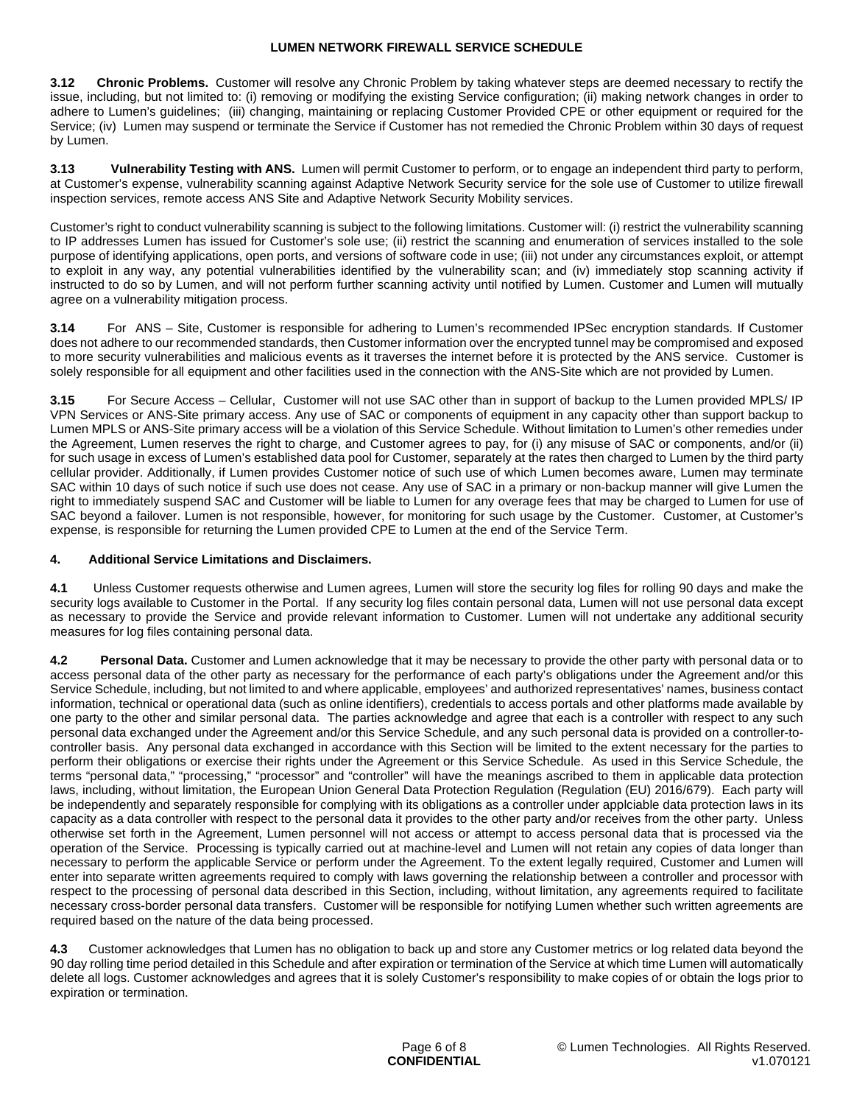**3.12 Chronic Problems.** Customer will resolve any Chronic Problem by taking whatever steps are deemed necessary to rectify the issue, including, but not limited to: (i) removing or modifying the existing Service configuration; (ii) making network changes in order to adhere to Lumen's guidelines; (iii) changing, maintaining or replacing Customer Provided CPE or other equipment or required for the Service: (iv) Lumen may suspend or terminate the Service if Customer has not remedied the Chronic Problem within 30 days of request by Lumen.

**3.13 Vulnerability Testing with ANS.** Lumen will permit Customer to perform, or to engage an independent third party to perform, at Customer's expense, vulnerability scanning against Adaptive Network Security service for the sole use of Customer to utilize firewall inspection services, remote access ANS Site and Adaptive Network Security Mobility services.

Customer's right to conduct vulnerability scanning is subject to the following limitations. Customer will: (i) restrict the vulnerability scanning to IP addresses Lumen has issued for Customer's sole use; (ii) restrict the scanning and enumeration of services installed to the sole purpose of identifying applications, open ports, and versions of software code in use; (iii) not under any circumstances exploit, or attempt to exploit in any way, any potential vulnerabilities identified by the vulnerability scan; and (iv) immediately stop scanning activity if instructed to do so by Lumen, and will not perform further scanning activity until notified by Lumen. Customer and Lumen will mutually agree on a vulnerability mitigation process.

**3.14** For ANS – Site, Customer is responsible for adhering to Lumen's recommended IPSec encryption standards. If Customer does not adhere to our recommended standards, then Customer information over the encrypted tunnel may be compromised and exposed to more security vulnerabilities and malicious events as it traverses the internet before it is protected by the ANS service. Customer is solely responsible for all equipment and other facilities used in the connection with the ANS-Site which are not provided by Lumen.

**3.15** For Secure Access – Cellular, Customer will not use SAC other than in support of backup to the Lumen provided MPLS/ IP VPN Services or ANS-Site primary access. Any use of SAC or components of equipment in any capacity other than support backup to Lumen MPLS or ANS-Site primary access will be a violation of this Service Schedule. Without limitation to Lumen's other remedies under the Agreement, Lumen reserves the right to charge, and Customer agrees to pay, for (i) any misuse of SAC or components, and/or (ii) for such usage in excess of Lumen's established data pool for Customer, separately at the rates then charged to Lumen by the third party cellular provider. Additionally, if Lumen provides Customer notice of such use of which Lumen becomes aware, Lumen may terminate SAC within 10 days of such notice if such use does not cease. Any use of SAC in a primary or non-backup manner will give Lumen the right to immediately suspend SAC and Customer will be liable to Lumen for any overage fees that may be charged to Lumen for use of SAC beyond a failover. Lumen is not responsible, however, for monitoring for such usage by the Customer. Customer, at Customer's expense, is responsible for returning the Lumen provided CPE to Lumen at the end of the Service Term.

## **4. Additional Service Limitations and Disclaimers.**

**4.1** Unless Customer requests otherwise and Lumen agrees, Lumen will store the security log files for rolling 90 days and make the security logs available to Customer in the Portal. If any security log files contain personal data, Lumen will not use personal data except as necessary to provide the Service and provide relevant information to Customer. Lumen will not undertake any additional security measures for log files containing personal data.

**4.2 Personal Data.** Customer and Lumen acknowledge that it may be necessary to provide the other party with personal data or to access personal data of the other party as necessary for the performance of each party's obligations under the Agreement and/or this Service Schedule, including, but not limited to and where applicable, employees' and authorized representatives' names, business contact information, technical or operational data (such as online identifiers), credentials to access portals and other platforms made available by one party to the other and similar personal data. The parties acknowledge and agree that each is a controller with respect to any such personal data exchanged under the Agreement and/or this Service Schedule, and any such personal data is provided on a controller-tocontroller basis. Any personal data exchanged in accordance with this Section will be limited to the extent necessary for the parties to perform their obligations or exercise their rights under the Agreement or this Service Schedule. As used in this Service Schedule, the terms "personal data," "processing," "processor" and "controller" will have the meanings ascribed to them in applicable data protection laws, including, without limitation, the European Union General Data Protection Regulation (Regulation (EU) 2016/679). Each party will be independently and separately responsible for complying with its obligations as a controller under applciable data protection laws in its capacity as a data controller with respect to the personal data it provides to the other party and/or receives from the other party. Unless otherwise set forth in the Agreement, Lumen personnel will not access or attempt to access personal data that is processed via the operation of the Service. Processing is typically carried out at machine-level and Lumen will not retain any copies of data longer than necessary to perform the applicable Service or perform under the Agreement. To the extent legally required, Customer and Lumen will enter into separate written agreements required to comply with laws governing the relationship between a controller and processor with respect to the processing of personal data described in this Section, including, without limitation, any agreements required to facilitate necessary cross-border personal data transfers. Customer will be responsible for notifying Lumen whether such written agreements are required based on the nature of the data being processed.

**4.3** Customer acknowledges that Lumen has no obligation to back up and store any Customer metrics or log related data beyond the 90 day rolling time period detailed in this Schedule and after expiration or termination of the Service at which time Lumen will automatically delete all logs. Customer acknowledges and agrees that it is solely Customer's responsibility to make copies of or obtain the logs prior to expiration or termination.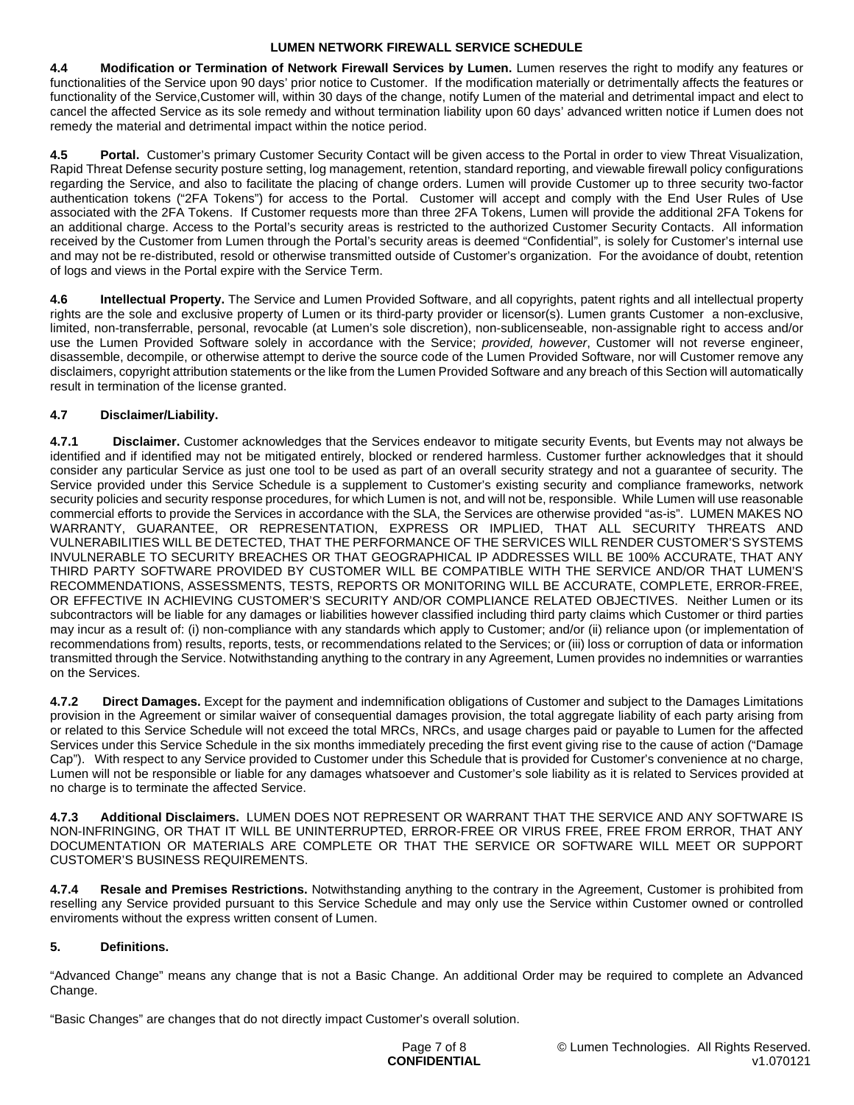**4.4 Modification or Termination of Network Firewall Services by Lumen.** Lumen reserves the right to modify any features or functionalities of the Service upon 90 days' prior notice to Customer. If the modification materially or detrimentally affects the features or functionality of the Service,Customer will, within 30 days of the change, notify Lumen of the material and detrimental impact and elect to cancel the affected Service as its sole remedy and without termination liability upon 60 days' advanced written notice if Lumen does not remedy the material and detrimental impact within the notice period.

**4.5 Portal.** Customer's primary Customer Security Contact will be given access to the Portal in order to view Threat Visualization, Rapid Threat Defense security posture setting, log management, retention, standard reporting, and viewable firewall policy configurations regarding the Service, and also to facilitate the placing of change orders. Lumen will provide Customer up to three security two-factor authentication tokens ("2FA Tokens") for access to the Portal. Customer will accept and comply with the End User Rules of Use associated with the 2FA Tokens. If Customer requests more than three 2FA Tokens, Lumen will provide the additional 2FA Tokens for an additional charge. Access to the Portal's security areas is restricted to the authorized Customer Security Contacts. All information received by the Customer from Lumen through the Portal's security areas is deemed "Confidential", is solely for Customer's internal use and may not be re-distributed, resold or otherwise transmitted outside of Customer's organization. For the avoidance of doubt, retention of logs and views in the Portal expire with the Service Term.

**4.6 Intellectual Property.** The Service and Lumen Provided Software, and all copyrights, patent rights and all intellectual property rights are the sole and exclusive property of Lumen or its third-party provider or licensor(s). Lumen grants Customer a non-exclusive, limited, non-transferrable, personal, revocable (at Lumen's sole discretion), non-sublicenseable, non-assignable right to access and/or use the Lumen Provided Software solely in accordance with the Service; *provided, however*, Customer will not reverse engineer, disassemble, decompile, or otherwise attempt to derive the source code of the Lumen Provided Software, nor will Customer remove any disclaimers, copyright attribution statements or the like from the Lumen Provided Software and any breach of this Section will automatically result in termination of the license granted.

# **4.7 Disclaimer/Liability.**

**4.7.1 Disclaimer.** Customer acknowledges that the Services endeavor to mitigate security Events, but Events may not always be identified and if identified may not be mitigated entirely, blocked or rendered harmless. Customer further acknowledges that it should consider any particular Service as just one tool to be used as part of an overall security strategy and not a guarantee of security. The Service provided under this Service Schedule is a supplement to Customer's existing security and compliance frameworks, network security policies and security response procedures, for which Lumen is not, and will not be, responsible. While Lumen will use reasonable commercial efforts to provide the Services in accordance with the SLA, the Services are otherwise provided "as-is". LUMEN MAKES NO WARRANTY, GUARANTEE, OR REPRESENTATION, EXPRESS OR IMPLIED, THAT ALL SECURITY THREATS AND VULNERABILITIES WILL BE DETECTED, THAT THE PERFORMANCE OF THE SERVICES WILL RENDER CUSTOMER'S SYSTEMS INVULNERABLE TO SECURITY BREACHES OR THAT GEOGRAPHICAL IP ADDRESSES WILL BE 100% ACCURATE, THAT ANY THIRD PARTY SOFTWARE PROVIDED BY CUSTOMER WILL BE COMPATIBLE WITH THE SERVICE AND/OR THAT LUMEN'S RECOMMENDATIONS, ASSESSMENTS, TESTS, REPORTS OR MONITORING WILL BE ACCURATE, COMPLETE, ERROR-FREE, OR EFFECTIVE IN ACHIEVING CUSTOMER'S SECURITY AND/OR COMPLIANCE RELATED OBJECTIVES. Neither Lumen or its subcontractors will be liable for any damages or liabilities however classified including third party claims which Customer or third parties may incur as a result of: (i) non-compliance with any standards which apply to Customer; and/or (ii) reliance upon (or implementation of recommendations from) results, reports, tests, or recommendations related to the Services; or (iii) loss or corruption of data or information transmitted through the Service. Notwithstanding anything to the contrary in any Agreement, Lumen provides no indemnities or warranties on the Services.

**4.7.2 Direct Damages.** Except for the payment and indemnification obligations of Customer and subject to the Damages Limitations provision in the Agreement or similar waiver of consequential damages provision, the total aggregate liability of each party arising from or related to this Service Schedule will not exceed the total MRCs, NRCs, and usage charges paid or payable to Lumen for the affected Services under this Service Schedule in the six months immediately preceding the first event giving rise to the cause of action ("Damage Cap"). With respect to any Service provided to Customer under this Schedule that is provided for Customer's convenience at no charge, Lumen will not be responsible or liable for any damages whatsoever and Customer's sole liability as it is related to Services provided at no charge is to terminate the affected Service.

**4.7.3 Additional Disclaimers.** LUMEN DOES NOT REPRESENT OR WARRANT THAT THE SERVICE AND ANY SOFTWARE IS NON-INFRINGING, OR THAT IT WILL BE UNINTERRUPTED, ERROR-FREE OR VIRUS FREE, FREE FROM ERROR, THAT ANY DOCUMENTATION OR MATERIALS ARE COMPLETE OR THAT THE SERVICE OR SOFTWARE WILL MEET OR SUPPORT CUSTOMER'S BUSINESS REQUIREMENTS.

**4.7.4 Resale and Premises Restrictions.** Notwithstanding anything to the contrary in the Agreement, Customer is prohibited from reselling any Service provided pursuant to this Service Schedule and may only use the Service within Customer owned or controlled enviroments without the express written consent of Lumen.

# **5. Definitions.**

"Advanced Change" means any change that is not a Basic Change. An additional Order may be required to complete an Advanced Change.

"Basic Changes" are changes that do not directly impact Customer's overall solution.